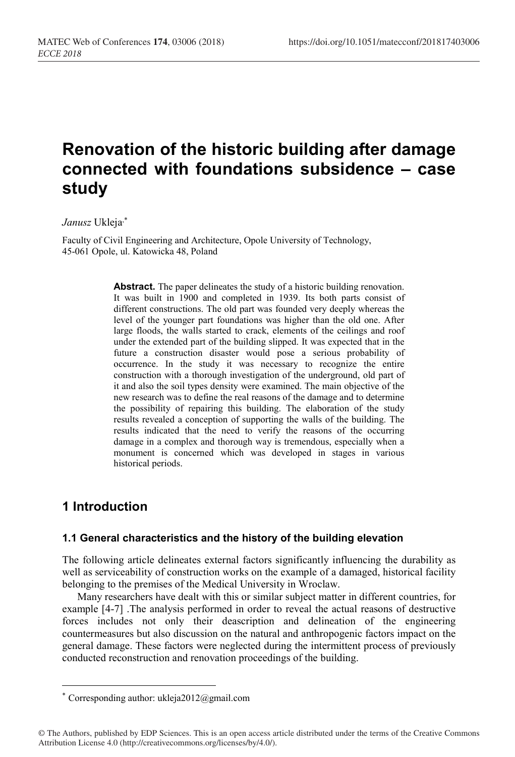# Renovation of the historic building after damage connected with foundations subsidence – case study

Janusz Ukleja,\*

Faculty of Civil Engineering and Architecture, Opole University of Technology, 45-061 Opole, ul. Katowicka 48, Poland

> Abstract. The paper delineates the study of a historic building renovation. It was built in 1900 and completed in 1939. Its both parts consist of different constructions. The old part was founded very deeply whereas the level of the younger part foundations was higher than the old one. After large floods, the walls started to crack, elements of the ceilings and roof under the extended part of the building slipped. It was expected that in the future a construction disaster would pose a serious probability of occurrence. In the study it was necessary to recognize the entire construction with a thorough investigation of the underground, old part of it and also the soil types density were examined. The main objective of the new research was to define the real reasons of the damage and to determine the possibility of repairing this building. The elaboration of the study results revealed a conception of supporting the walls of the building. The results indicated that the need to verify the reasons of the occurring damage in a complex and thorough way is tremendous, especially when a monument is concerned which was developed in stages in various historical periods.

# 1 Introduction

 $\overline{a}$ 

#### 1.1 General characteristics and the history of the building elevation

The following article delineates external factors significantly influencing the durability as well as serviceability of construction works on the example of a damaged, historical facility belonging to the premises of the Medical University in Wroclaw.

Many researchers have dealt with this or similar subject matter in different countries, for example [4-7] .The analysis performed in order to reveal the actual reasons of destructive forces includes not only their deascription and delineation of the engineering countermeasures but also discussion on the natural and anthropogenic factors impact on the general damage. These factors were neglected during the intermittent process of previously conducted reconstruction and renovation proceedings of the building.

<sup>\*</sup> Corresponding author: ukleja2012@gmail.com

<sup>©</sup> The Authors, published by EDP Sciences. This is an open access article distributed under the terms of the Creative Commons Attribution License 4.0 (http://creativecommons.org/licenses/by/4.0/).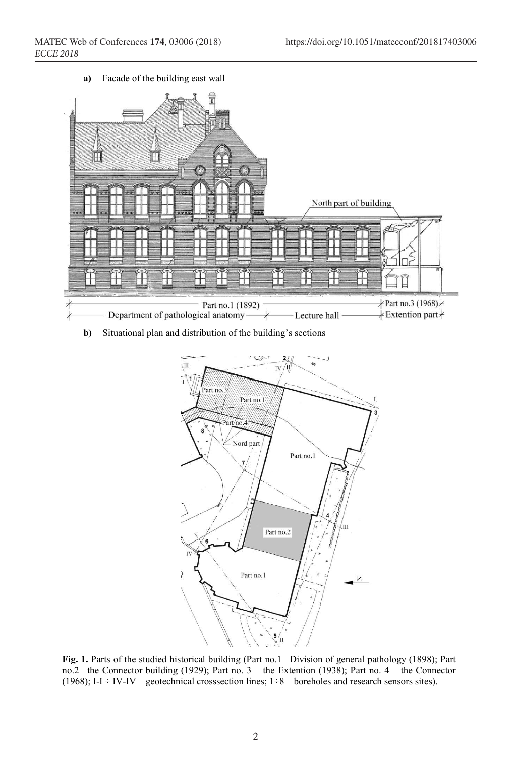a) Facade of the building east wall



b) Situational plan and distribution of the building's sections



Fig. 1. Parts of the studied historical building (Part no.1– Division of general pathology (1898); Part no.2– the Connector building (1929); Part no. 3 – the Extention (1938); Part no. 4 – the Connector (1968); I-I ÷ IV-IV – geotechnical crosssection lines;  $1\div 8$  – boreholes and research sensors sites).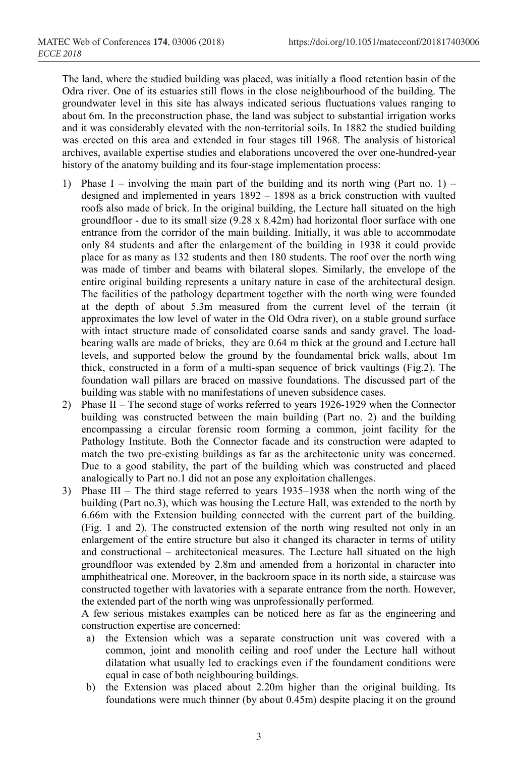The land, where the studied building was placed, was initially a flood retention basin of the Odra river. One of its estuaries still flows in the close neighbourhood of the building. The groundwater level in this site has always indicated serious fluctuations values ranging to about 6m. In the preconstruction phase, the land was subject to substantial irrigation works and it was considerably elevated with the non-territorial soils. In 1882 the studied building was erected on this area and extended in four stages till 1968. The analysis of historical archives, available expertise studies and elaborations uncovered the over one-hundred-year history of the anatomy building and its four-stage implementation process:

- 1) Phase I involving the main part of the building and its north wing (Part no. 1) designed and implemented in years 1892 – 1898 as a brick construction with vaulted roofs also made of brick. In the original building, the Lecture hall situated on the high groundfloor - due to its small size  $(9.28 \times 8.42 \text{m})$  had horizontal floor surface with one entrance from the corridor of the main building. Initially, it was able to accommodate only 84 students and after the enlargement of the building in 1938 it could provide place for as many as 132 students and then 180 students. The roof over the north wing was made of timber and beams with bilateral slopes. Similarly, the envelope of the entire original building represents a unitary nature in case of the architectural design. The facilities of the pathology department together with the north wing were founded at the depth of about 5.3m measured from the current level of the terrain (it approximates the low level of water in the Old Odra river), on a stable ground surface with intact structure made of consolidated coarse sands and sandy gravel. The loadbearing walls are made of bricks, they are 0.64 m thick at the ground and Lecture hall levels, and supported below the ground by the foundamental brick walls, about 1m thick, constructed in a form of a multi-span sequence of brick vaultings (Fig.2). The foundation wall pillars are braced on massive foundations. The discussed part of the building was stable with no manifestations of uneven subsidence cases.
- 2) Phase II The second stage of works referred to years 1926-1929 when the Connector building was constructed between the main building (Part no. 2) and the building encompassing a circular forensic room forming a common, joint facility for the Pathology Institute. Both the Connector facade and its construction were adapted to match the two pre-existing buildings as far as the architectonic unity was concerned. Due to a good stability, the part of the building which was constructed and placed analogically to Part no.1 did not an pose any exploitation challenges.
- 3) Phase III The third stage referred to years 1935–1938 when the north wing of the building (Part no.3), which was housing the Lecture Hall, was extended to the north by 6.66m with the Extension building connected with the current part of the building. (Fig. 1 and 2). The constructed extension of the north wing resulted not only in an enlargement of the entire structure but also it changed its character in terms of utility and constructional – architectonical measures. The Lecture hall situated on the high groundfloor was extended by 2.8m and amended from a horizontal in character into amphitheatrical one. Moreover, in the backroom space in its north side, a staircase was constructed together with lavatories with a separate entrance from the north. However, the extended part of the north wing was unprofessionally performed.

A few serious mistakes examples can be noticed here as far as the engineering and construction expertise are concerned:

- a) the Extension which was a separate construction unit was covered with a common, joint and monolith ceiling and roof under the Lecture hall without dilatation what usually led to crackings even if the foundament conditions were equal in case of both neighbouring buildings.
- b) the Extension was placed about 2.20m higher than the original building. Its foundations were much thinner (by about 0.45m) despite placing it on the ground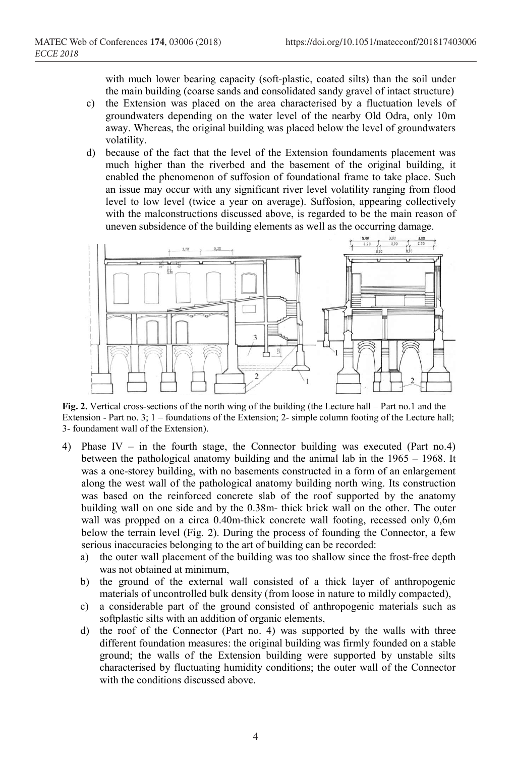with much lower bearing capacity (soft-plastic, coated silts) than the soil under the main building (coarse sands and consolidated sandy gravel of intact structure)

- c) the Extension was placed on the area characterised by a fluctuation levels of groundwaters depending on the water level of the nearby Old Odra, only 10m away. Whereas, the original building was placed below the level of groundwaters volatility.
- d) because of the fact that the level of the Extension foundaments placement was much higher than the riverbed and the basement of the original building, it enabled the phenomenon of suffosion of foundational frame to take place. Such an issue may occur with any significant river level volatility ranging from flood level to low level (twice a year on average). Suffosion, appearing collectively with the malconstructions discussed above, is regarded to be the main reason of uneven subsidence of the building elements as well as the occurring damage.



Fig. 2. Vertical cross-sections of the north wing of the building (the Lecture hall – Part no.1 and the Extension - Part no. 3; 1 – foundations of the Extension; 2- simple column footing of the Lecture hall; 3- foundament wall of the Extension).

- 4) Phase IV in the fourth stage, the Connector building was executed (Part no.4) between the pathological anatomy building and the animal lab in the 1965 – 1968. It was a one-storey building, with no basements constructed in a form of an enlargement along the west wall of the pathological anatomy building north wing. Its construction was based on the reinforced concrete slab of the roof supported by the anatomy building wall on one side and by the 0.38m- thick brick wall on the other. The outer wall was propped on a circa 0.40m-thick concrete wall footing, recessed only 0,6m below the terrain level (Fig. 2). During the process of founding the Connector, a few serious inaccuracies belonging to the art of building can be recorded:
	- a) the outer wall placement of the building was too shallow since the frost-free depth was not obtained at minimum,
	- b) the ground of the external wall consisted of a thick layer of anthropogenic materials of uncontrolled bulk density (from loose in nature to mildly compacted),
	- c) a considerable part of the ground consisted of anthropogenic materials such as softplastic silts with an addition of organic elements,
	- d) the roof of the Connector (Part no. 4) was supported by the walls with three different foundation measures: the original building was firmly founded on a stable ground; the walls of the Extension building were supported by unstable silts characterised by fluctuating humidity conditions; the outer wall of the Connector with the conditions discussed above.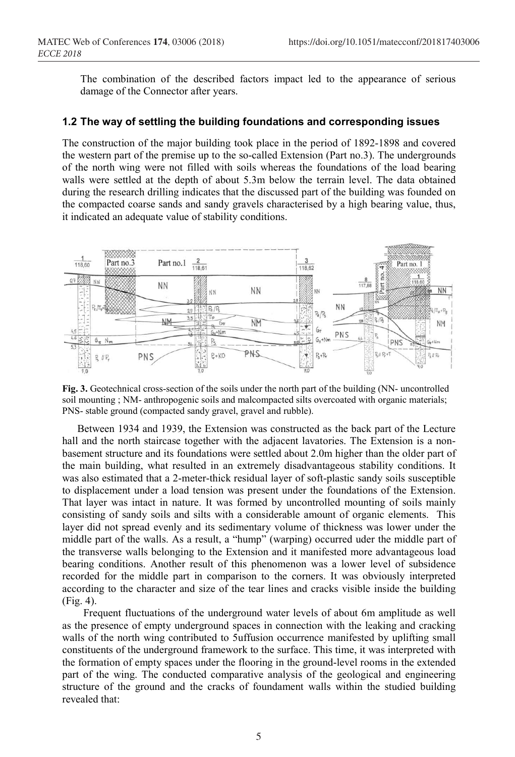The combination of the described factors impact led to the appearance of serious damage of the Connector after years.

## 1.2 The way of settling the building foundations and corresponding issues

The construction of the major building took place in the period of 1892-1898 and covered the western part of the premise up to the so-called Extension (Part no.3). The undergrounds of the north wing were not filled with soils whereas the foundations of the load bearing walls were settled at the depth of about 5.3m below the terrain level. The data obtained during the research drilling indicates that the discussed part of the building was founded on the compacted coarse sands and sandy gravels characterised by a high bearing value, thus, it indicated an adequate value of stability conditions.



Fig. 3. Geotechnical cross-section of the soils under the north part of the building (NN- uncontrolled soil mounting ; NM- anthropogenic soils and malcompacted silts overcoated with organic materials; PNS- stable ground (compacted sandy gravel, gravel and rubble).

Between 1934 and 1939, the Extension was constructed as the back part of the Lecture hall and the north staircase together with the adjacent lavatories. The Extension is a nonbasement structure and its foundations were settled about 2.0m higher than the older part of the main building, what resulted in an extremely disadvantageous stability conditions. It was also estimated that a 2-meter-thick residual layer of soft-plastic sandy soils susceptible to displacement under a load tension was present under the foundations of the Extension. That layer was intact in nature. It was formed by uncontrolled mounting of soils mainly consisting of sandy soils and silts with a considerable amount of organic elements. This layer did not spread evenly and its sedimentary volume of thickness was lower under the middle part of the walls. As a result, a "hump" (warping) occurred uder the middle part of the transverse walls belonging to the Extension and it manifested more advantageous load bearing conditions. Another result of this phenomenon was a lower level of subsidence recorded for the middle part in comparison to the corners. It was obviously interpreted according to the character and size of the tear lines and cracks visible inside the building (Fig. 4).

Frequent fluctuations of the underground water levels of about 6m amplitude as well as the presence of empty underground spaces in connection with the leaking and cracking walls of the north wing contributed to 5uffusion occurrence manifested by uplifting small constituents of the underground framework to the surface. This time, it was interpreted with the formation of empty spaces under the flooring in the ground-level rooms in the extended part of the wing. The conducted comparative analysis of the geological and engineering structure of the ground and the cracks of foundament walls within the studied building revealed that: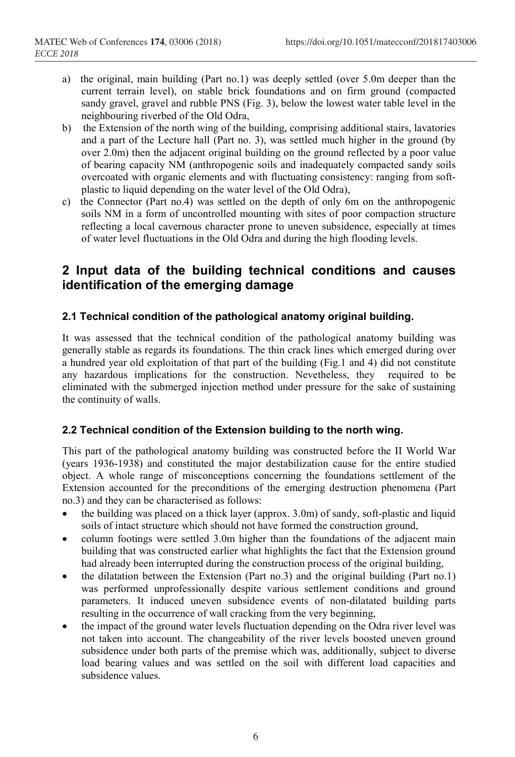- a) the original, main building (Part no.1) was deeply settled (over 5.0m deeper than the current terrain level), on stable brick foundations and on firm ground (compacted sandy gravel, gravel and rubble PNS (Fig. 3), below the lowest water table level in the neighbouring riverbed of the Old Odra,
- b) the Extension of the north wing of the building, comprising additional stairs, lavatories and a part of the Lecture hall (Part no. 3), was settled much higher in the ground (by over 2.0m) then the adjacent original building on the ground reflected by a poor value of bearing capacity NM (anthropogenic soils and inadequately compacted sandy soils overcoated with organic elements and with fluctuating consistency: ranging from softplastic to liquid depending on the water level of the Old Odra),
- c) the Connector (Part no.4) was settled on the depth of only 6m on the anthropogenic soils NM in a form of uncontrolled mounting with sites of poor compaction structure reflecting a local cavernous character prone to uneven subsidence, especially at times of water level fluctuations in the Old Odra and during the high flooding levels.

## 2 Input data of the building technical conditions and causes identification of the emerging damage

#### 2.1 Technical condition of the pathological anatomy original building.

It was assessed that the technical condition of the pathological anatomy building was generally stable as regards its foundations. The thin crack lines which emerged during over a hundred year old exploitation of that part of the building (Fig.1 and 4) did not constitute any hazardous implications for the construction. Nevetheless, they required to be eliminated with the submerged injection method under pressure for the sake of sustaining the continuity of walls.

### 2.2 Technical condition of the Extension building to the north wing.

This part of the pathological anatomy building was constructed before the II World War (years 1936-1938) and constituted the major destabilization cause for the entire studied object. A whole range of misconceptions concerning the foundations settlement of the Extension accounted for the preconditions of the emerging destruction phenomena (Part no.3) and they can be characterised as follows:

- the building was placed on a thick layer (approx. 3.0m) of sandy, soft-plastic and liquid soils of intact structure which should not have formed the construction ground,
- column footings were settled 3.0m higher than the foundations of the adjacent main building that was constructed earlier what highlights the fact that the Extension ground had already been interrupted during the construction process of the original building,
- the dilatation between the Extension (Part no.3) and the original building (Part no.1) was performed unprofessionally despite various settlement conditions and ground parameters. It induced uneven subsidence events of non-dilatated building parts resulting in the occurrence of wall cracking from the very beginning,
- the impact of the ground water levels fluctuation depending on the Odra river level was not taken into account. The changeability of the river levels boosted uneven ground subsidence under both parts of the premise which was, additionally, subject to diverse load bearing values and was settled on the soil with different load capacities and subsidence values.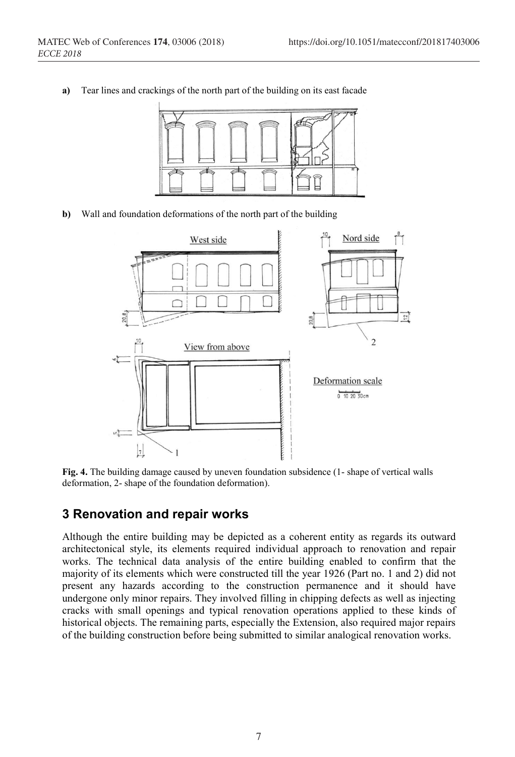

a) Tear lines and crackings of the north part of the building on its east facade

b) Wall and foundation deformations of the north part of the building



Fig. 4. The building damage caused by uneven foundation subsidence (1- shape of vertical walls deformation, 2- shape of the foundation deformation).

## 3 Renovation and repair works

Although the entire building may be depicted as a coherent entity as regards its outward architectonical style, its elements required individual approach to renovation and repair works. The technical data analysis of the entire building enabled to confirm that the majority of its elements which were constructed till the year 1926 (Part no. 1 and 2) did not present any hazards according to the construction permanence and it should have undergone only minor repairs. They involved filling in chipping defects as well as injecting cracks with small openings and typical renovation operations applied to these kinds of historical objects. The remaining parts, especially the Extension, also required major repairs of the building construction before being submitted to similar analogical renovation works.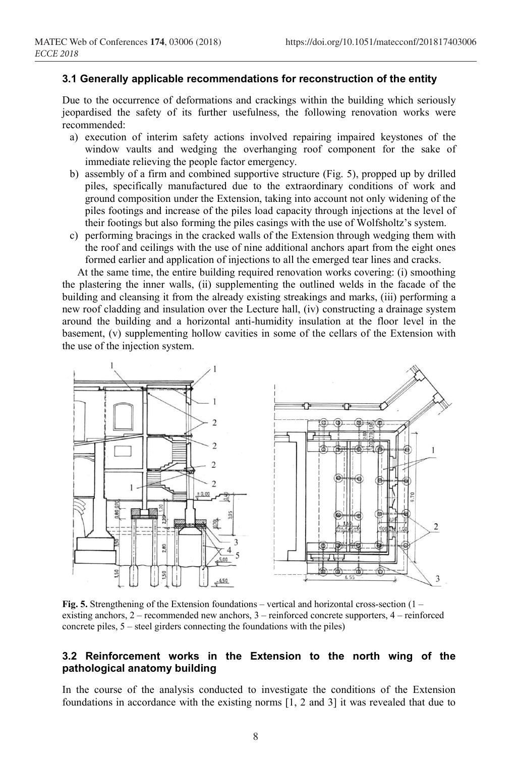#### 3.1 Generally applicable recommendations for reconstruction of the entity

Due to the occurrence of deformations and crackings within the building which seriously jeopardised the safety of its further usefulness, the following renovation works were recommended:

- a) execution of interim safety actions involved repairing impaired keystones of the window vaults and wedging the overhanging roof component for the sake of immediate relieving the people factor emergency.
- b) assembly of a firm and combined supportive structure (Fig. 5), propped up by drilled piles, specifically manufactured due to the extraordinary conditions of work and ground composition under the Extension, taking into account not only widening of the piles footings and increase of the piles load capacity through injections at the level of their footings but also forming the piles casings with the use of Wolfsholtz's system.
- c) performing bracings in the cracked walls of the Extension through wedging them with the roof and ceilings with the use of nine additional anchors apart from the eight ones formed earlier and application of injections to all the emerged tear lines and cracks.

At the same time, the entire building required renovation works covering: (i) smoothing the plastering the inner walls, (ii) supplementing the outlined welds in the facade of the building and cleansing it from the already existing streakings and marks, (iii) performing a new roof cladding and insulation over the Lecture hall, (iv) constructing a drainage system around the building and a horizontal anti-humidity insulation at the floor level in the basement, (v) supplementing hollow cavities in some of the cellars of the Extension with the use of the injection system.



Fig. 5. Strengthening of the Extension foundations – vertical and horizontal cross-section  $(1$ existing anchors, 2 – recommended new anchors, 3 – reinforced concrete supporters, 4 – reinforced concrete piles, 5 – steel girders connecting the foundations with the piles)

#### 3.2 Reinforcement works in the Extension to the north wing of the pathological anatomy building

In the course of the analysis conducted to investigate the conditions of the Extension foundations in accordance with the existing norms [1, 2 and 3] it was revealed that due to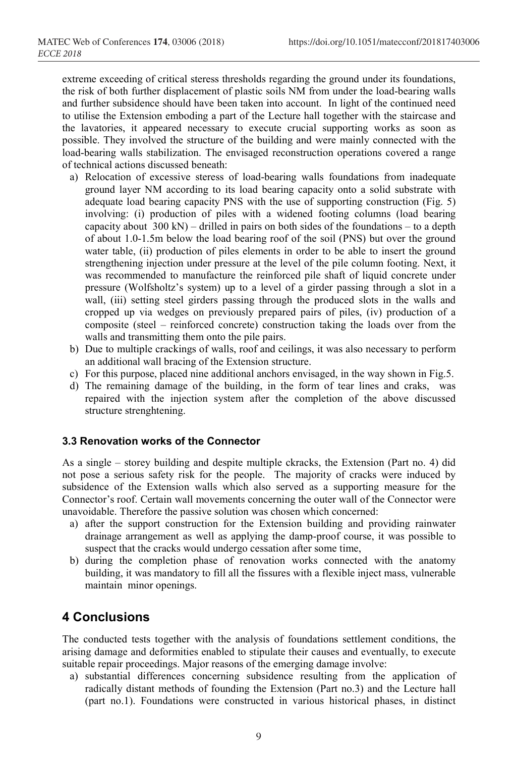extreme exceeding of critical steress thresholds regarding the ground under its foundations, the risk of both further displacement of plastic soils NM from under the load-bearing walls and further subsidence should have been taken into account. In light of the continued need to utilise the Extension emboding a part of the Lecture hall together with the staircase and the lavatories, it appeared necessary to execute crucial supporting works as soon as possible. They involved the structure of the building and were mainly connected with the load-bearing walls stabilization. The envisaged reconstruction operations covered a range of technical actions discussed beneath:

- a) Relocation of excessive steress of load-bearing walls foundations from inadequate ground layer NM according to its load bearing capacity onto a solid substrate with adequate load bearing capacity PNS with the use of supporting construction (Fig. 5) involving: (i) production of piles with a widened footing columns (load bearing capacity about  $300 \text{ kN}$  – drilled in pairs on both sides of the foundations – to a depth of about 1.0-1.5m below the load bearing roof of the soil (PNS) but over the ground water table, (ii) production of piles elements in order to be able to insert the ground strengthening injection under pressure at the level of the pile column footing. Next, it was recommended to manufacture the reinforced pile shaft of liquid concrete under pressure (Wolfsholtz's system) up to a level of a girder passing through a slot in a wall, (iii) setting steel girders passing through the produced slots in the walls and cropped up via wedges on previously prepared pairs of piles, (iv) production of a composite (steel – reinforced concrete) construction taking the loads over from the walls and transmitting them onto the pile pairs.
- b) Due to multiple crackings of walls, roof and ceilings, it was also necessary to perform an additional wall bracing of the Extension structure.
- c) For this purpose, placed nine additional anchors envisaged, in the way shown in Fig.5.
- d) The remaining damage of the building, in the form of tear lines and craks, was repaired with the injection system after the completion of the above discussed structure strenghtening.

#### 3.3 Renovation works of the Connector

As a single – storey building and despite multiple ckracks, the Extension (Part no. 4) did not pose a serious safety risk for the people. The majority of cracks were induced by subsidence of the Extension walls which also served as a supporting measure for the Connector's roof. Certain wall movements concerning the outer wall of the Connector were unavoidable. Therefore the passive solution was chosen which concerned:

- a) after the support construction for the Extension building and providing rainwater drainage arrangement as well as applying the damp-proof course, it was possible to suspect that the cracks would undergo cessation after some time,
- b) during the completion phase of renovation works connected with the anatomy building, it was mandatory to fill all the fissures with a flexible inject mass, vulnerable maintain minor openings.

## 4 Conclusions

The conducted tests together with the analysis of foundations settlement conditions, the arising damage and deformities enabled to stipulate their causes and eventually, to execute suitable repair proceedings. Major reasons of the emerging damage involve:

a) substantial differences concerning subsidence resulting from the application of radically distant methods of founding the Extension (Part no.3) and the Lecture hall (part no.1). Foundations were constructed in various historical phases, in distinct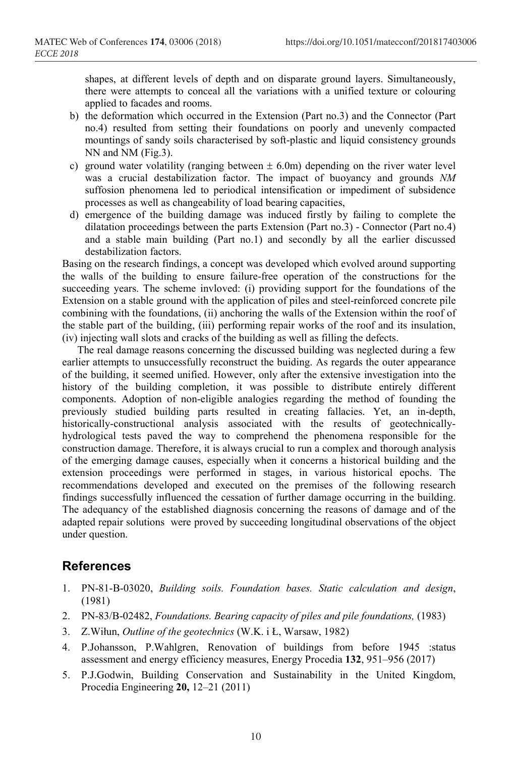shapes, at different levels of depth and on disparate ground layers. Simultaneously, there were attempts to conceal all the variations with a unified texture or colouring applied to facades and rooms.

- b) the deformation which occurred in the Extension (Part no.3) and the Connector (Part no.4) resulted from setting their foundations on poorly and unevenly compacted mountings of sandy soils characterised by soft-plastic and liquid consistency grounds NN and NM (Fig.3).
- c) ground water volatility (ranging between  $\pm$  6.0m) depending on the river water level was a crucial destabilization factor. The impact of buoyancy and grounds NM suffosion phenomena led to periodical intensification or impediment of subsidence processes as well as changeability of load bearing capacities,
- d) emergence of the building damage was induced firstly by failing to complete the dilatation proceedings between the parts Extension (Part no.3) - Connector (Part no.4) and a stable main building (Part no.1) and secondly by all the earlier discussed destabilization factors.

Basing on the research findings, a concept was developed which evolved around supporting the walls of the building to ensure failure-free operation of the constructions for the succeeding years. The scheme invloved: (i) providing support for the foundations of the Extension on a stable ground with the application of piles and steel-reinforced concrete pile combining with the foundations, (ii) anchoring the walls of the Extension within the roof of the stable part of the building, (iii) performing repair works of the roof and its insulation, (iv) injecting wall slots and cracks of the building as well as filling the defects.

The real damage reasons concerning the discussed building was neglected during a few earlier attempts to unsuccessfully reconstruct the buiding. As regards the outer appearance of the building, it seemed unified. However, only after the extensive investigation into the history of the building completion, it was possible to distribute entirely different components. Adoption of non-eligible analogies regarding the method of founding the previously studied building parts resulted in creating fallacies. Yet, an in-depth, historically-constructional analysis associated with the results of geotechnicallyhydrological tests paved the way to comprehend the phenomena responsible for the construction damage. Therefore, it is always crucial to run a complex and thorough analysis of the emerging damage causes, especially when it concerns a historical building and the extension proceedings were performed in stages, in various historical epochs. The recommendations developed and executed on the premises of the following research findings successfully influenced the cessation of further damage occurring in the building. The adequancy of the established diagnosis concerning the reasons of damage and of the adapted repair solutions were proved by succeeding longitudinal observations of the object under question.

## References

- 1. PN-81-B-03020, Building soils. Foundation bases. Static calculation and design, (1981)
- 2. PN-83/B-02482, Foundations. Bearing capacity of piles and pile foundations, (1983)
- 3. Z.Wiłun, Outline of the geotechnics (W.K. i Ł, Warsaw, 1982)
- 4. P.Johansson, P.Wahlgren, Renovation of buildings from before 1945 :status assessment and energy efficiency measures, Energy Procedia 132, 951–956 (2017)
- 5. P.J.Godwin, Building Conservation and Sustainability in the United Kingdom, Procedia Engineering 20, 12–21 (2011)